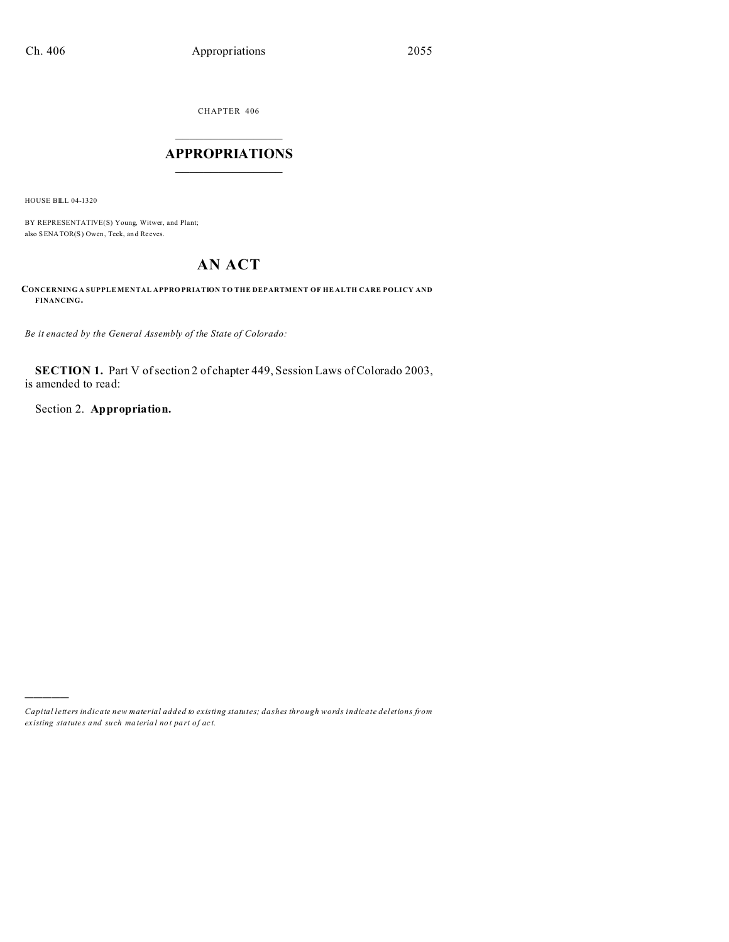CHAPTER 406  $\overline{\phantom{a}}$  , where  $\overline{\phantom{a}}$ 

## **APPROPRIATIONS**  $\_$   $\_$   $\_$   $\_$   $\_$   $\_$   $\_$   $\_$

HOUSE BILL 04-1320

)))))

BY REPRESENTATIVE(S) Young, Witwer, and Plant; also SENATOR(S) Owen, Teck, an d Reeves.

# **AN ACT**

**CONCERNING A SUPPLE MENTAL APPRO PRIATION TO THE DEPARTMENT OF HE ALTH CARE POLICY AND FINANCING.**

*Be it enacted by the General Assembly of the State of Colorado:*

**SECTION 1.** Part V of section 2 of chapter 449, Session Laws of Colorado 2003, is amended to read:

Section 2. **Appropriation.**

*Capital letters indicate new material added to existing statutes; dashes through words indicate deletions from ex isting statute s and such ma teria l no t pa rt of ac t.*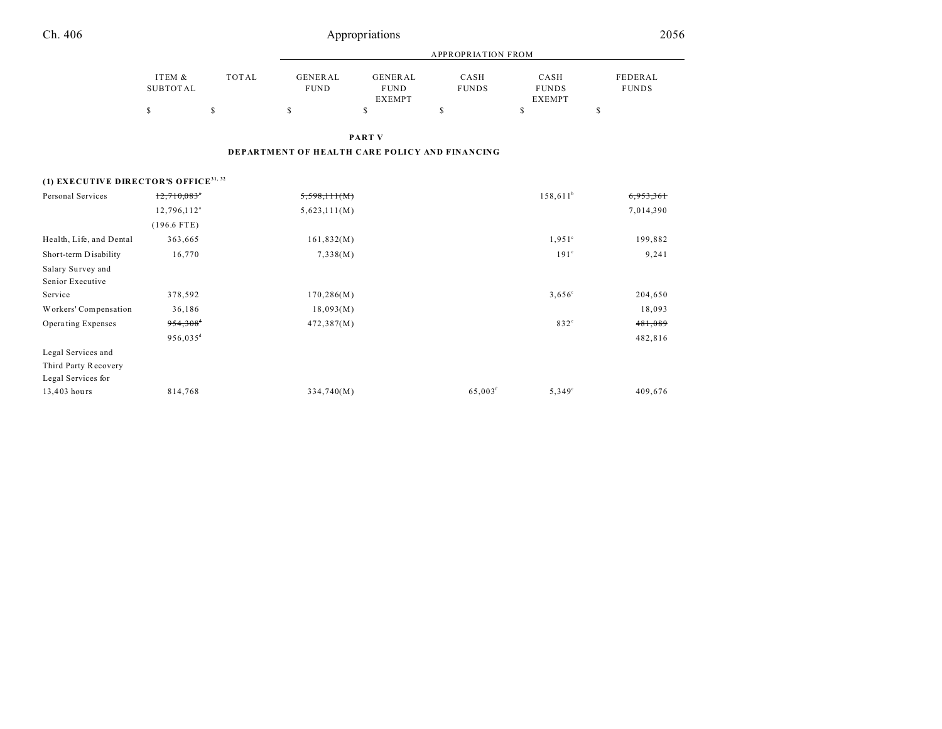| Ch. 406                                           |                           | Appropriations |                                                |                                                |                      |                                       |                         |  |
|---------------------------------------------------|---------------------------|----------------|------------------------------------------------|------------------------------------------------|----------------------|---------------------------------------|-------------------------|--|
|                                                   |                           |                |                                                | <b>APPROPRIATION FROM</b>                      |                      |                                       |                         |  |
|                                                   | ITEM &<br><b>SUBTOTAL</b> | <b>TOTAL</b>   | <b>GENERAL</b><br><b>FUND</b>                  | <b>GENERAL</b><br><b>FUND</b><br><b>EXEMPT</b> | CASH<br><b>FUNDS</b> | CASH<br><b>FUNDS</b><br><b>EXEMPT</b> | FEDERAL<br><b>FUNDS</b> |  |
|                                                   | \$                        | $\mathbb{S}$   | $\mathbb{S}$                                   | \$                                             | \$                   | \$                                    | \$                      |  |
|                                                   |                           |                |                                                | <b>PART V</b>                                  |                      |                                       |                         |  |
|                                                   |                           |                | DEPARTMENT OF HEALTH CARE POLICY AND FINANCING |                                                |                      |                                       |                         |  |
| (1) EXECUTIVE DIRECTOR'S OFFICE <sup>31, 32</sup> |                           |                |                                                |                                                |                      |                                       |                         |  |
| Personal Services                                 | $12,710,083$ <sup>*</sup> |                | 5,598,111(M)                                   |                                                |                      | $158,611^b$                           |                         |  |
|                                                   | 12,796,112 <sup>a</sup>   |                | 5,623,111(M)                                   |                                                |                      |                                       | 7,014,390               |  |
|                                                   | $(196.6$ FTE)             |                |                                                |                                                |                      |                                       |                         |  |
| Health, Life, and Dental                          | 363,665                   |                | 161,832(M)                                     |                                                |                      | $1,951^{\circ}$                       | 199,882                 |  |
| Short-term Disability                             | 16,770                    |                | 7,338(M)                                       |                                                |                      | 191 <sup>c</sup>                      | 9,241                   |  |
| Salary Survey and<br>Senior Executive             |                           |                |                                                |                                                |                      |                                       |                         |  |
| Service                                           | 378,592                   |                | 170, 286(M)                                    |                                                |                      | $3,656^{\circ}$                       | 204,650                 |  |
| Workers' Compensation                             | 36,186                    |                | 18,093(M)                                      |                                                |                      |                                       | 18,093                  |  |
| Operating Expenses                                | $954,308$ <sup>4</sup>    |                | 472,387(M)                                     |                                                |                      | $832^\circ$                           | 481,089                 |  |
|                                                   | 956,035 <sup>d</sup>      |                |                                                |                                                |                      |                                       | 482,816                 |  |
| Legal Services and                                |                           |                |                                                |                                                |                      |                                       |                         |  |
| Third Party Recovery                              |                           |                |                                                |                                                |                      |                                       |                         |  |
| Legal Services for                                |                           |                |                                                |                                                |                      |                                       |                         |  |

13,403 hours 814,768 334,740(M) 65,003<sup>f</sup>

5,349<sup>c</sup>

409,676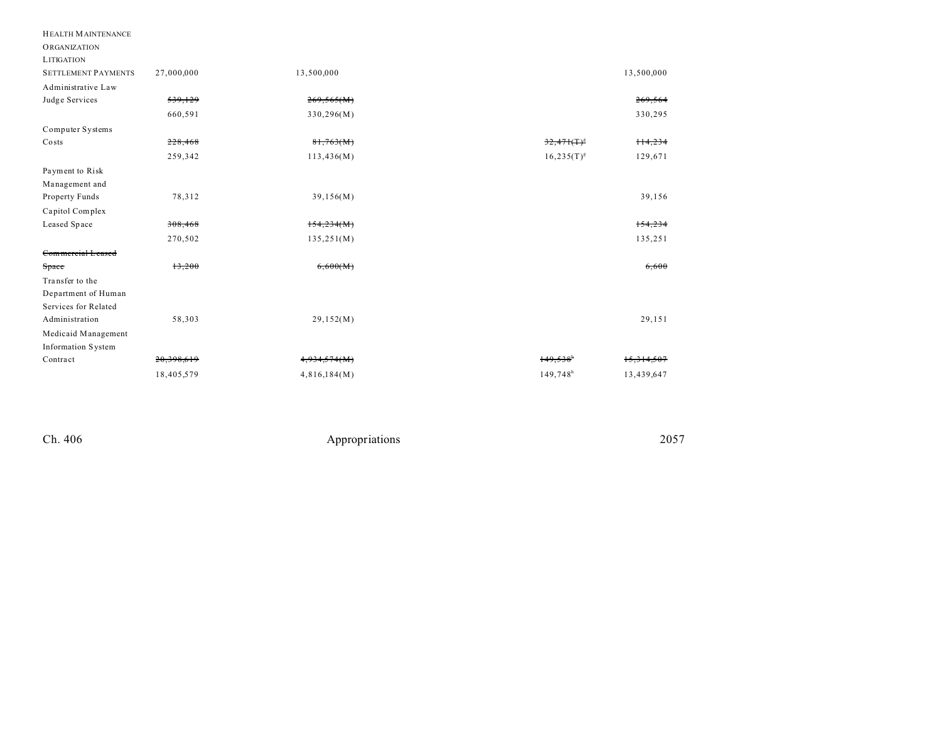| <b>HEALTH MAINTENANCE</b>  |            |              |                        |            |
|----------------------------|------------|--------------|------------------------|------------|
| <b>ORGANIZATION</b>        |            |              |                        |            |
| <b>LITIGATION</b>          |            |              |                        |            |
| <b>SETTLEMENT PAYMENTS</b> | 27,000,000 | 13,500,000   |                        | 13,500,000 |
| Administrative Law         |            |              |                        |            |
| Judge Services             | 539,129    | 269,565(M)   |                        | 269,564    |
|                            | 660,591    | 330,296(M)   |                        | 330,295    |
| Computer Systems           |            |              |                        |            |
| Costs                      | 228,468    | 81,763(M)    | $32,471(T)^8$          | $+14.234$  |
|                            | 259,342    | 113,436(M)   | $16,235(T)^{g}$        | 129,671    |
| Payment to Risk            |            |              |                        |            |
| Management and             |            |              |                        |            |
| Property Funds             | 78,312     | 39,156(M)    |                        | 39,156     |
| Capitol Complex            |            |              |                        |            |
| Leased Space               | 308,468    | 154,234(M)   |                        | 154,234    |
|                            | 270,502    | 135,251(M)   |                        | 135,251    |
| Commercial Leased          |            |              |                        |            |
| Space                      | 13,200     | 6,600(M)     |                        | 6,600      |
| Transfer to the            |            |              |                        |            |
| Department of Human        |            |              |                        |            |
| Services for Related       |            |              |                        |            |
| Administration             | 58,303     | 29,152(M)    |                        | 29,151     |
| Medicaid Management        |            |              |                        |            |
| <b>Information System</b>  |            |              |                        |            |
| Contract                   | 20,398,619 | 4,934,574(M) | 149.538                | 15,314,507 |
|                            | 18,405,579 | 4,816,184(M) | $149,748$ <sup>h</sup> | 13,439,647 |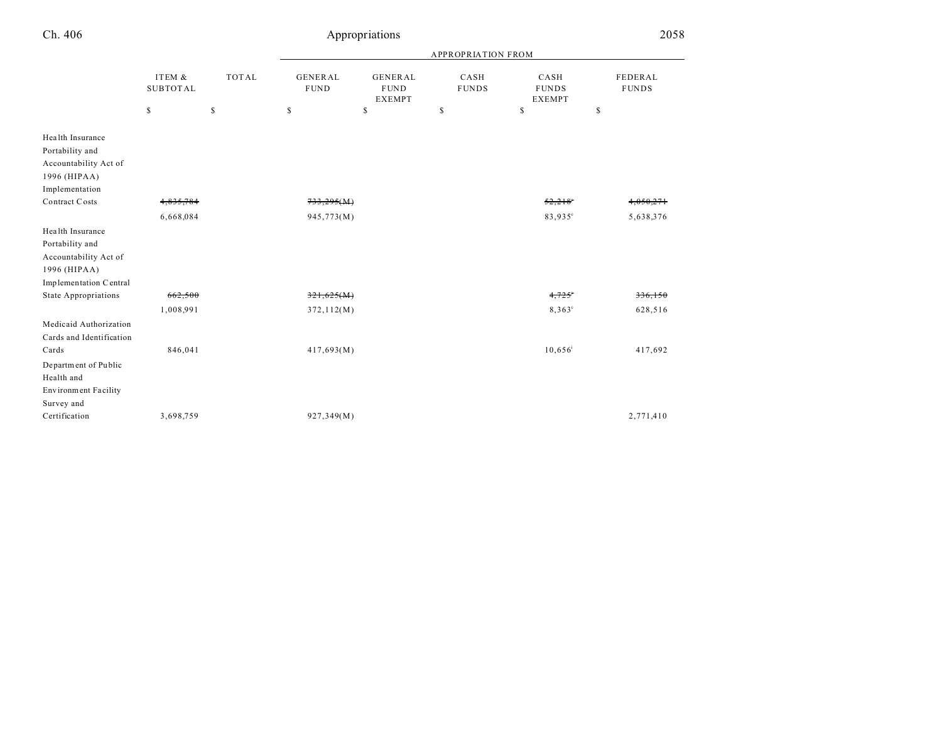| Ch. 406                                                                                                          |                           |              |                               | Appropriations                                 |                           |                                       | 2058                    |
|------------------------------------------------------------------------------------------------------------------|---------------------------|--------------|-------------------------------|------------------------------------------------|---------------------------|---------------------------------------|-------------------------|
|                                                                                                                  |                           |              |                               |                                                | <b>APPROPRIATION FROM</b> |                                       |                         |
|                                                                                                                  | ITEM &<br><b>SUBTOTAL</b> | <b>TOTAL</b> | <b>GENERAL</b><br><b>FUND</b> | <b>GENERAL</b><br><b>FUND</b><br><b>EXEMPT</b> | CASH<br><b>FUNDS</b>      | CASH<br><b>FUNDS</b><br><b>EXEMPT</b> | FEDERAL<br><b>FUNDS</b> |
|                                                                                                                  | \$                        | $\mathbb{S}$ | \$                            | \$                                             | \$                        | \$                                    | $\mathbb{S}$            |
| Health Insurance<br>Portability and<br>Accountability Act of<br>1996 (HIPAA)<br>Implementation<br>Contract Costs | 4,835,784<br>6,668,084    |              | 733,295(M)<br>945,773(M)      |                                                |                           | 52,218<br>83,935°                     | 4,050,271<br>5,638,376  |
| Health Insurance<br>Portability and<br>Accountability Act of<br>1996 (HIPAA)<br>Implementation Central           |                           |              |                               |                                                |                           |                                       |                         |
| <b>State Appropriations</b>                                                                                      | 662,500                   |              | 321,625(M)                    |                                                |                           | $4,725^{\circ}$                       | 336,150                 |
| Medicaid Authorization<br>Cards and Identification                                                               | 1,008,991                 |              | 372, 112(M)                   |                                                |                           | $8,363^\circ$                         | 628,516                 |
| Cards<br>Department of Public<br>Health and<br>Environment Facility<br>Survey and                                | 846,041                   |              | 417,693(M)                    |                                                |                           | $10,656^{\rm i}$                      | 417,692                 |
| Certification                                                                                                    | 3,698,759                 |              | 927,349(M)                    |                                                |                           |                                       | 2,771,410               |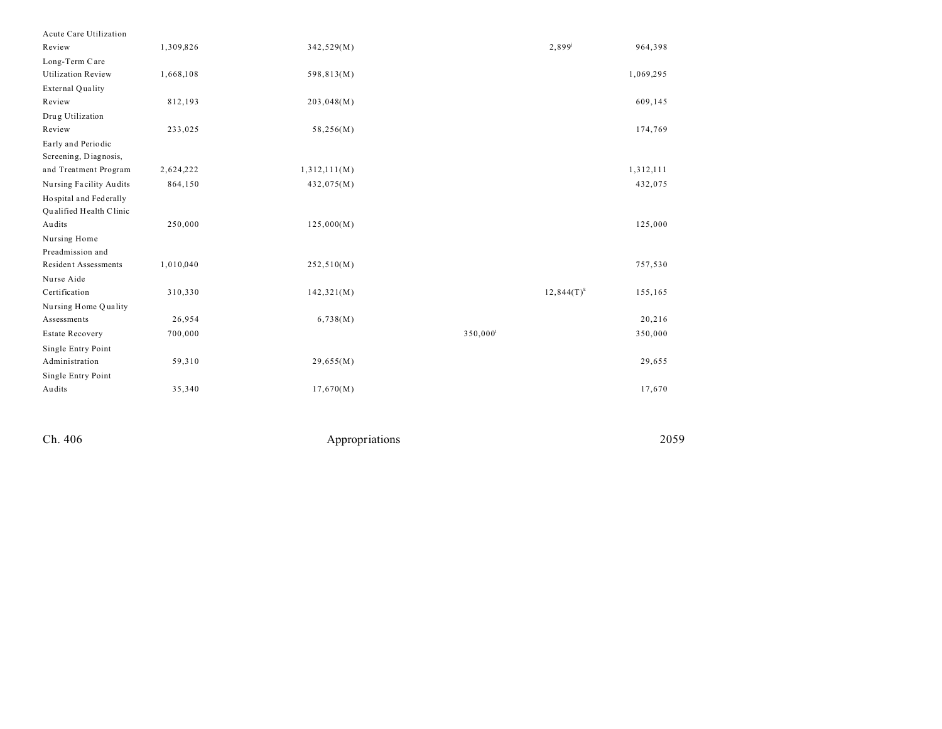| Acute Care Utilization      |           |              |                        |               |           |
|-----------------------------|-----------|--------------|------------------------|---------------|-----------|
| Review                      | 1,309,826 | 342,529(M)   |                        | $2,899^{j}$   | 964,398   |
| Long-Term Care              |           |              |                        |               |           |
| <b>Utilization Review</b>   | 1,668,108 | 598,813(M)   |                        |               | 1,069,295 |
| External Quality            |           |              |                        |               |           |
| Review                      | 812,193   | 203,048(M)   |                        |               | 609,145   |
| Drug Utilization            |           |              |                        |               |           |
| Review                      | 233,025   | 58,256(M)    |                        |               | 174,769   |
| Early and Periodic          |           |              |                        |               |           |
| Screening, Diagnosis,       |           |              |                        |               |           |
| and Treatment Program       | 2,624,222 | 1,312,111(M) |                        |               | 1,312,111 |
| Nursing Facility Audits     | 864,150   | 432,075(M)   |                        |               | 432,075   |
| Hospital and Federally      |           |              |                        |               |           |
| Qualified Health Clinic     |           |              |                        |               |           |
| Audits                      | 250,000   | 125,000(M)   |                        |               | 125,000   |
| Nursing Home                |           |              |                        |               |           |
| Preadmission and            |           |              |                        |               |           |
| <b>Resident Assessments</b> | 1,010,040 | 252,510(M)   |                        |               | 757,530   |
| Nurse Aide                  |           |              |                        |               |           |
| Certification               | 310,330   | 142,321(M)   |                        | $12,844(T)^k$ | 155,165   |
| Nursing Home Quality        |           |              |                        |               |           |
| Assessments                 | 26,954    | 6,738(M)     |                        |               | 20,216    |
| <b>Estate Recovery</b>      | 700,000   |              | $350,000$ <sup>1</sup> |               | 350,000   |
| Single Entry Point          |           |              |                        |               |           |
| Administration              | 59,310    | 29,655(M)    |                        |               | 29,655    |
| Single Entry Point          |           |              |                        |               |           |
| Audits                      | 35,340    | 17,670(M)    |                        |               | 17,670    |
|                             |           |              |                        |               |           |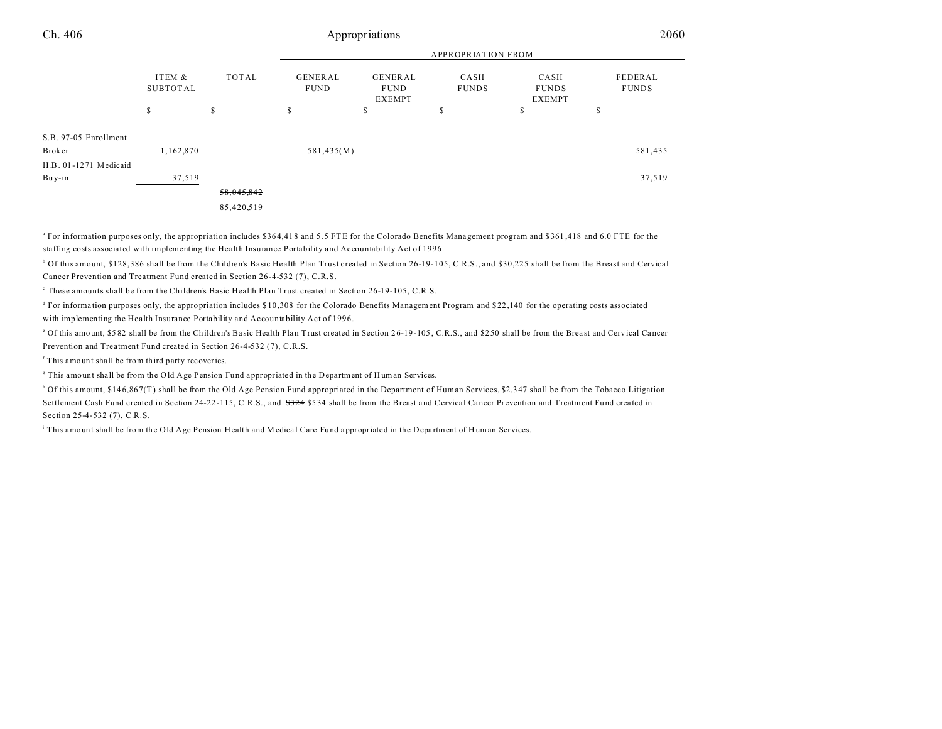| Ch. 406               | Appropriations     |            |                               |                                         |                           |                                       |                         | 2060    |  |
|-----------------------|--------------------|------------|-------------------------------|-----------------------------------------|---------------------------|---------------------------------------|-------------------------|---------|--|
|                       |                    |            |                               |                                         | <b>APPROPRIATION FROM</b> |                                       |                         |         |  |
|                       | ITEM &<br>SUBTOTAL | TOTAL      | <b>GENERAL</b><br><b>FUND</b> | GENERAL<br><b>FUND</b><br><b>EXEMPT</b> | CASH<br><b>FUNDS</b>      | CASH<br><b>FUNDS</b><br><b>EXEMPT</b> | FEDERAL<br><b>FUNDS</b> |         |  |
|                       | \$                 | \$         | \$                            | \$                                      | \$                        | \$                                    | s                       |         |  |
| S.B. 97-05 Enrollment |                    |            |                               |                                         |                           |                                       |                         |         |  |
| Broker                | 1,162,870          |            | 581,435(M)                    |                                         |                           |                                       |                         | 581,435 |  |
| H.B. 01-1271 Medicaid |                    |            |                               |                                         |                           |                                       |                         |         |  |
| Buy-in                | 37,519             |            |                               |                                         |                           |                                       |                         | 37,519  |  |
|                       |                    | 58,045,842 |                               |                                         |                           |                                       |                         |         |  |
|                       |                    |            |                               |                                         |                           |                                       |                         |         |  |

85,420,519

<sup>a</sup> For information purposes only, the appropriation includes \$364,418 and 5.5 FTE for the Colorado Benefits Management program and \$361,418 and 6.0 FTE for the staffing costs associated with implementing the Health Insurance Portability and Accountability Act of 1996.

b Of this amount, \$128,386 shall be from the Children's Basic Health Plan Trust created in Section 26-19-105, C.R.S., and \$30,225 shall be from the Breast and Cervical Cancer Prevention and Treatment Fund created in Section 26-4-532 (7), C.R.S.

These amounts shall be from the Children's Basic Health Plan Trust created in Section 26-19-105, C.R.S.

<sup>d</sup> For information purposes only, the appropriation includes \$10,308 for the Colorado Benefits Management Program and \$22,140 for the operating costs associated with implementing the Health Insurance Portability and Accountability Act of 1996.

<sup>e</sup> Of this amount, \$5 82 shall be from the Children's Ba sic Health Pla n Trust created in Section 2 6-19 -105 , C.R.S., and \$2 50 shall be from the Brea st and Cervical Ca ncer Prevention and Treatment Fund created in Section 26-4-532 (7), C.R.S.

f This amount shall be from third party recoveries.

<sup>g</sup> This amount shall be from the Old Age Pension Fund appropriated in the Department of Human Services.

<sup>h</sup> Of this amount, \$146,867(T) shall be from the Old Age Pension Fund appropriated in the Department of Human Services, \$2,347 shall be from the Tobacco Litigation Settlement Cash Fund created in Section 24-22-115, C.R.S., and  $\frac{224}{524}$  \$534 shall be from the Breast and Cervical Cancer Prevention and Treatment Fund created in Section 25-4-532 (7), C.R.S.

This amount shall be from the Old Age Pension Health and Medical Care Fund appropriated in the Department of Human Services.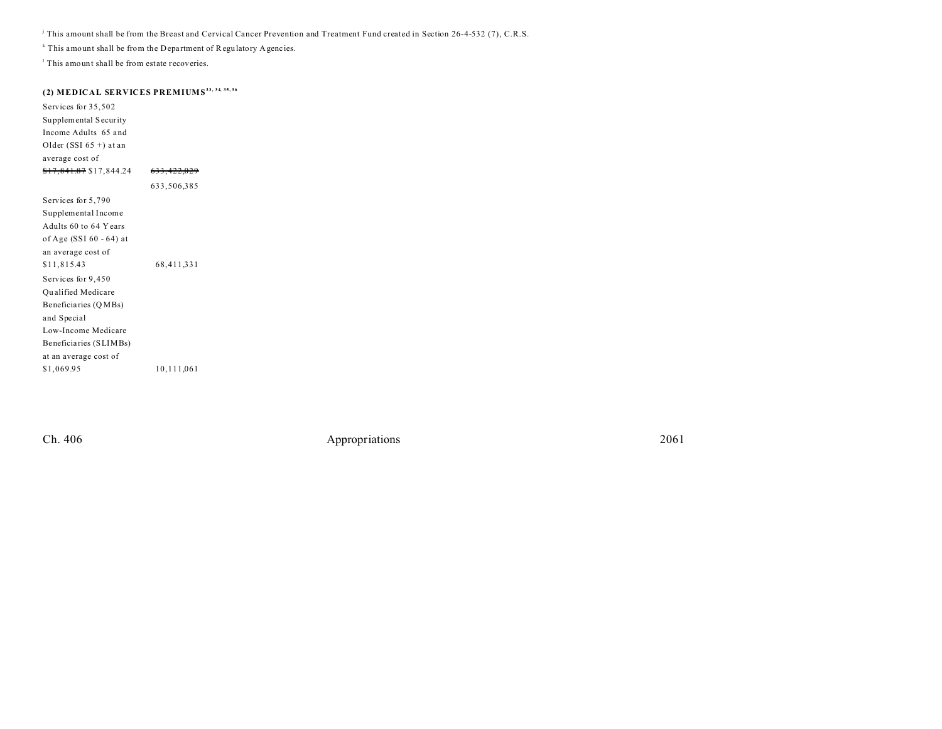j This amount shall be from the Breast and Cervical Cancer Prevention and Treatment Fund created in Section 26-4-532 (7), C.R.S.

<sup>k</sup> This amount shall be from the Department of Regulatory Agencies.

<sup>1</sup> This amount shall be from estate recoveries.

## **(2) MEDICAL SERVICES PREMIUMS33, 34, 35, 36**

Services for 35,502 Supplemental Security Income Adults 65 a nd Older (SSI  $65 +$ ) at an average cost of \$17,841.87 \$17,844.24 633,422,029 633,506,385 Services for 5,790 Supplemental Income Adults 60 to 64 Years of Age (SSI 60 - 64) at an average cost of \$11,815.43 68,411,331 Services for 9,450 Qu alified Medicare Beneficia ries (Q MBs) and Special Low-Income Medicare Beneficia ries (SLIMBs) at an average cost of \$1,069.95 10,111,061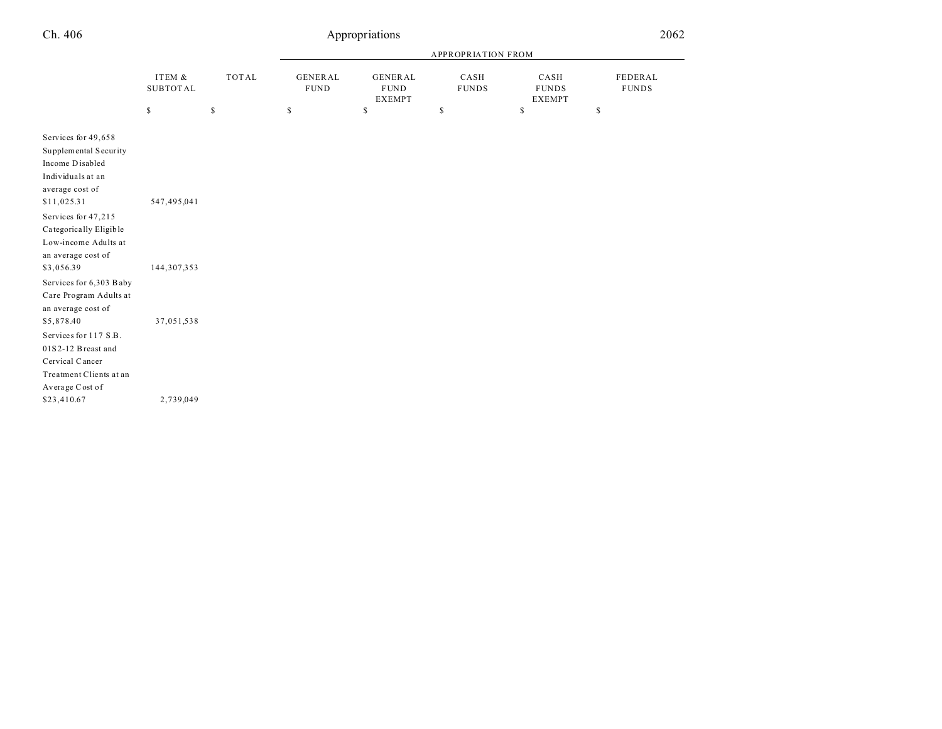| Ch. 406                                                                                                                                                                                                                             |                              | 2062         |                               |                                                 |                      |                                       |                         |
|-------------------------------------------------------------------------------------------------------------------------------------------------------------------------------------------------------------------------------------|------------------------------|--------------|-------------------------------|-------------------------------------------------|----------------------|---------------------------------------|-------------------------|
|                                                                                                                                                                                                                                     |                              |              |                               |                                                 |                      |                                       |                         |
|                                                                                                                                                                                                                                     | ITEM &<br><b>SUBTOTAL</b>    | <b>TOTAL</b> | <b>GENERAL</b><br><b>FUND</b> | <b>GENERAL</b><br>${\tt FUND}$<br><b>EXEMPT</b> | CASH<br><b>FUNDS</b> | CASH<br><b>FUNDS</b><br><b>EXEMPT</b> | FEDERAL<br><b>FUNDS</b> |
|                                                                                                                                                                                                                                     | \$                           | $\mathbb{S}$ | $\mathbb S$                   | $\mathbb S$                                     | \$                   | \$                                    | $\mathbb{S}$            |
| Services for 49,658<br>Supplemental Security<br>Income Disabled<br>Individuals at an<br>average cost of<br>\$11,025.31<br>Services for 47,215<br>Categorically Eligible<br>Low-income Adults at<br>an average cost of<br>\$3,056.39 | 547,495,041<br>144, 307, 353 |              |                               |                                                 |                      |                                       |                         |
| Services for 6,303 Baby<br>Care Program Adults at<br>an average cost of<br>\$5,878.40<br>Services for 117 S.B.<br>01S2-12 Breast and<br>Cervical Cancer<br>Treatment Clients at an<br>Average Cost of                               | 37,051,538                   |              |                               |                                                 |                      |                                       |                         |
| \$23,410.67                                                                                                                                                                                                                         | 2,739,049                    |              |                               |                                                 |                      |                                       |                         |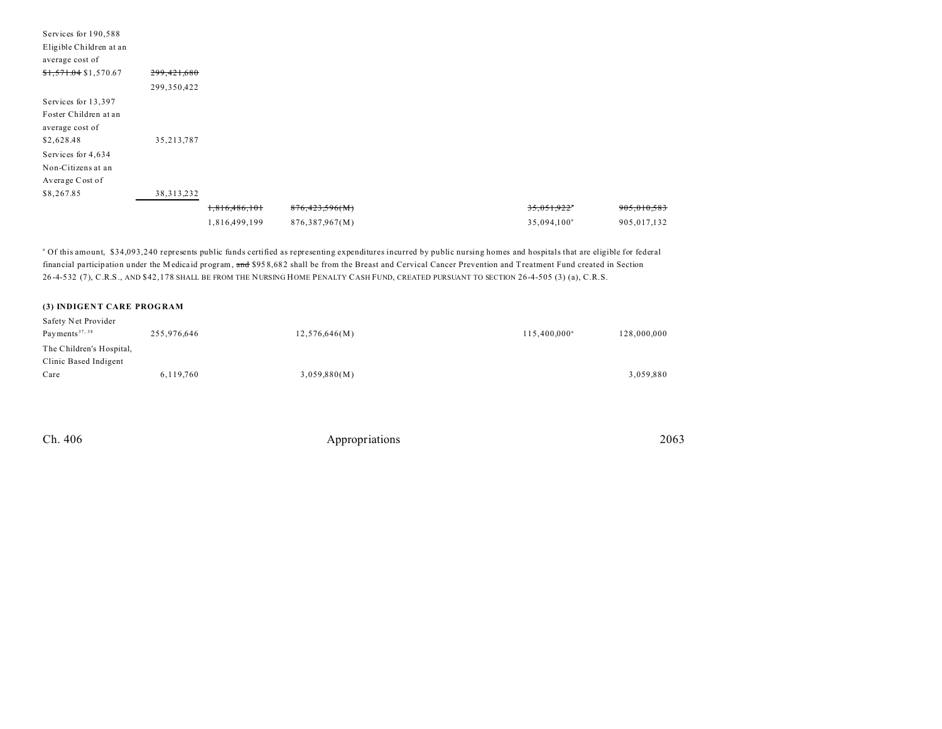| Services for 190,588          |               |               |                |                         |             |
|-------------------------------|---------------|---------------|----------------|-------------------------|-------------|
| Eligible Children at an       |               |               |                |                         |             |
| average cost of               |               |               |                |                         |             |
| $\frac{$1,571.04}{$1,570.67}$ | 299, 421, 680 |               |                |                         |             |
|                               | 299,350,422   |               |                |                         |             |
| Services for 13,397           |               |               |                |                         |             |
| Foster Children at an         |               |               |                |                         |             |
| average cost of               |               |               |                |                         |             |
| \$2,628.48                    | 35, 213, 787  |               |                |                         |             |
| Services for 4,634            |               |               |                |                         |             |
| Non-Citizens at an            |               |               |                |                         |             |
| Average Cost of               |               |               |                |                         |             |
| \$8,267.85                    | 38, 313, 232  |               |                |                         |             |
|                               |               | 1,816,486,101 | 876,423,596(M) | 35,051,922"             | 905,010,583 |
|                               |               | 1,816,499,199 | 876,387,967(M) | 35,094,100 <sup>a</sup> | 905,017,132 |

a Of this amount, \$34,093,240 represents public funds certified as representing expenditures incurred by public nursing homes and hospitals that are eligible for federal financial participation under the Medica id program, and \$95 8,682 shall be from the Breast and Cervical Cancer Prevention and Treatment Fund created in Section 26 -4-532 (7), C.R.S., AND \$42,178 SHALL BE FROM THE NURSING HOME PENALTY CASH FUND, CREATED PURSUANT TO SECTION 26-4-505 (3) (a), C.R.S.

#### **(3) INDIGENT CARE PROGRAM**

| Safety Net Provider        |             |               |                          |             |
|----------------------------|-------------|---------------|--------------------------|-------------|
| Payments <sup>37, 38</sup> | 255,976,646 | 12,576,646(M) | 115,400,000 <sup>a</sup> | 128,000,000 |
| The Children's Hospital,   |             |               |                          |             |
| Clinic Based Indigent      |             |               |                          |             |
| Care                       | 6,119,760   | 3,059,880(M)  |                          | 3,059,880   |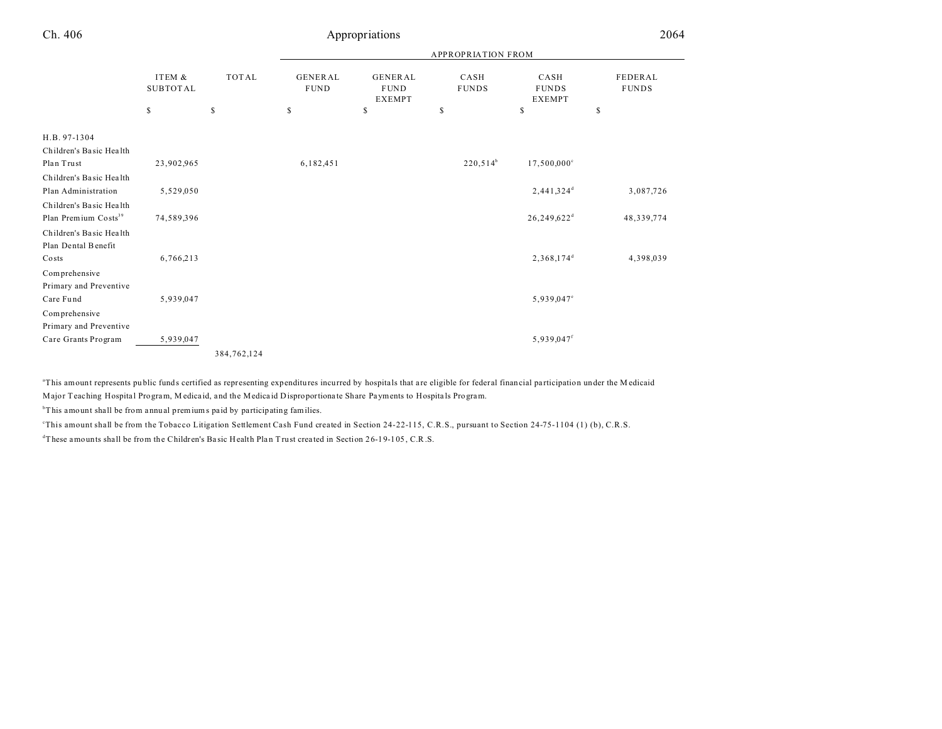## Appropriations 2064

|                                  | ITEM &<br><b>SUBTOTAL</b> |              |                               | <b>APPROPRIATION FROM</b>               |                      |                                       |                                |  |  |
|----------------------------------|---------------------------|--------------|-------------------------------|-----------------------------------------|----------------------|---------------------------------------|--------------------------------|--|--|
|                                  |                           | <b>TOTAL</b> | <b>GENERAL</b><br><b>FUND</b> | GENERAL<br><b>FUND</b><br><b>EXEMPT</b> | CASH<br><b>FUNDS</b> | CASH<br><b>FUNDS</b><br><b>EXEMPT</b> | <b>FEDERAL</b><br><b>FUNDS</b> |  |  |
|                                  | \$                        | \$           | \$                            | $\mathbb S$                             | $\mathbb S$          | \$                                    | \$                             |  |  |
| H.B. 97-1304                     |                           |              |                               |                                         |                      |                                       |                                |  |  |
| Children's Basic Health          |                           |              |                               |                                         |                      |                                       |                                |  |  |
| Plan Trust                       | 23,902,965                |              | 6,182,451                     |                                         | $220,514^b$          | $17,500,000$ <sup>c</sup>             |                                |  |  |
| Children's Basic Health          |                           |              |                               |                                         |                      |                                       |                                |  |  |
| Plan Administration              | 5,529,050                 |              |                               |                                         |                      | $2,441,324$ <sup>d</sup>              | 3,087,726                      |  |  |
| Children's Basic Health          |                           |              |                               |                                         |                      |                                       |                                |  |  |
| Plan Premium Costs <sup>39</sup> | 74,589,396                |              |                               |                                         |                      | 26,249,622 <sup>d</sup>               | 48,339,774                     |  |  |
| Children's Basic Health          |                           |              |                               |                                         |                      |                                       |                                |  |  |
| Plan Dental Benefit              |                           |              |                               |                                         |                      |                                       |                                |  |  |
| Costs                            | 6,766,213                 |              |                               |                                         |                      | $2,368,174^d$                         | 4,398,039                      |  |  |
| Comprehensive                    |                           |              |                               |                                         |                      |                                       |                                |  |  |
| Primary and Preventive           |                           |              |                               |                                         |                      |                                       |                                |  |  |
| Care Fund                        | 5,939,047                 |              |                               |                                         |                      | 5,939,047°                            |                                |  |  |
| Comprehensive                    |                           |              |                               |                                         |                      |                                       |                                |  |  |
| Primary and Preventive           |                           |              |                               |                                         |                      |                                       |                                |  |  |
| Care Grants Program              | 5,939,047                 |              |                               |                                         |                      | 5,939,047f                            |                                |  |  |
|                                  |                           | 384,762,124  |                               |                                         |                      |                                       |                                |  |  |

<sup>a</sup>This amount represents public funds certified as representing expenditures incurred by hospitals that are eligible for federal financial participation under the Medicaid Major Teaching Hospita l Program, M edica id, and the Medica id Disproportiona te Share Payments to Hospita ls Program.

 $b$ This amount shall be from annual premiums paid by participating families.

<sup>e</sup>This amount shall be from the Tobacco Litigation Settlement Cash Fund created in Section 24-22-115, C.R.S., pursuant to Section 24-75-1104 (1) (b), C.R.S.

<sup>d</sup>These amounts shall be from the Children's Basic Health Plan Trust created in Section 26-19-105, C.R.S.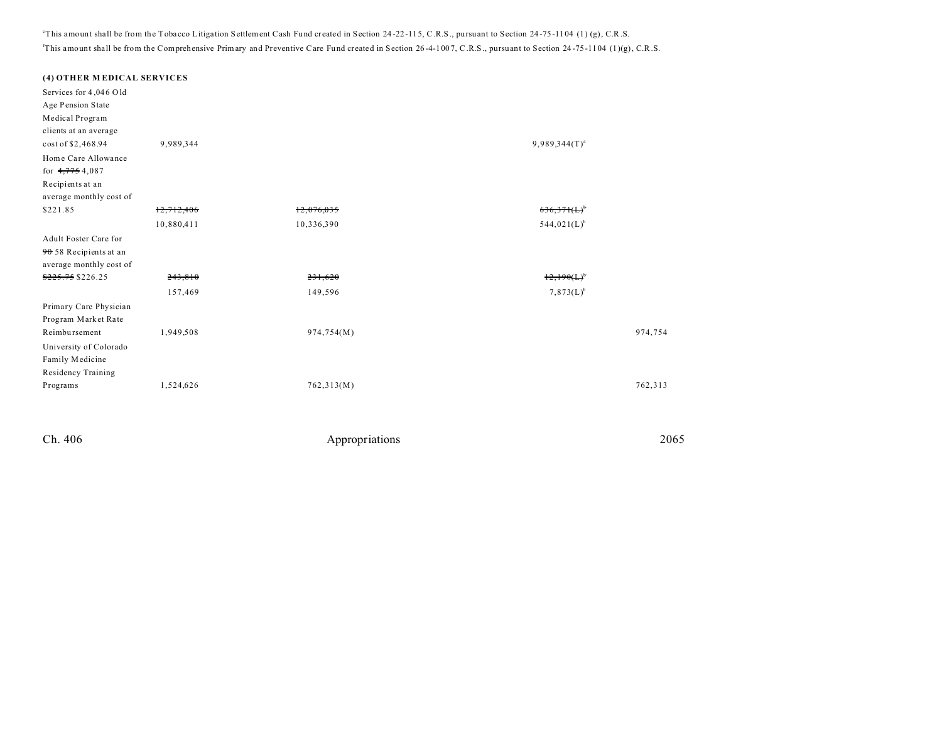<sup>e</sup>This amount shall be from the Tobacco Litigation Settlement Cash Fund created in Section 24-22-115, C.R.S., pursuant to Section 24-75-1104 (1) (g), C.R.S. <sup>f</sup>This amount shall be from the Comprehensive Primary and Preventive Care Fund created in Section 26-4-1007, C.R.S., pursuant to Section 24-75-1104 (1)(g), C.R.S.

| (4) OTHER MEDICAL SERVICES                                                                                    |            |            |                    |         |
|---------------------------------------------------------------------------------------------------------------|------------|------------|--------------------|---------|
| Services for 4,046 Old<br>Age Pension State<br>Medical Program<br>clients at an average<br>cost of \$2,468.94 | 9,989,344  |            | $9,989,344(T)^{a}$ |         |
| Home Care Allowance<br>for $4,7754,087$<br>Recipients at an<br>average monthly cost of                        |            |            |                    |         |
| \$221.85                                                                                                      | 12,712,406 | 12,076,035 | <del>636,371</del> |         |
|                                                                                                               | 10,880,411 | 10,336,390 | $544,021(L)^{b}$   |         |
| Adult Foster Care for<br>90 58 Recipients at an<br>average monthly cost of<br>\$225.75 \$226.25               | 243,810    | 231,620    | 12.190(L)          |         |
|                                                                                                               | 157,469    | 149,596    | $7,873(L)^{b}$     |         |
| Primary Care Physician<br>Program Market Rate<br>Reimbursement<br>University of Colorado<br>Family Medicine   | 1,949,508  | 974,754(M) |                    | 974,754 |
| Residency Training<br>Programs                                                                                | 1,524,626  | 762,313(M) |                    | 762,313 |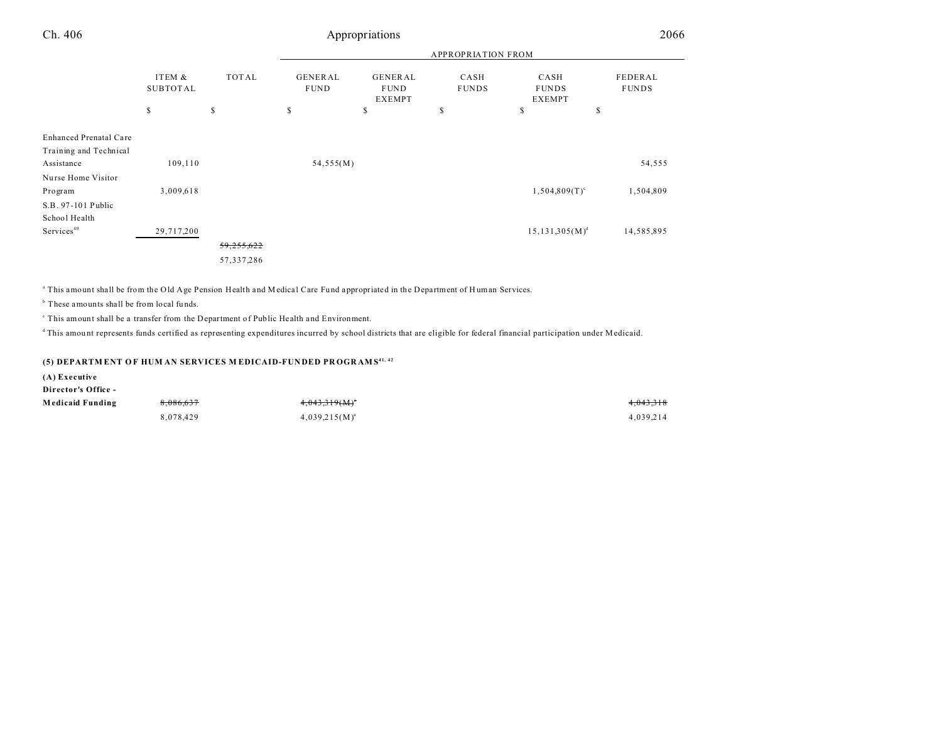| Ch. 406                              | Appropriations            |              |                               |                                         |                      |                                       | 2066                    |  |
|--------------------------------------|---------------------------|--------------|-------------------------------|-----------------------------------------|----------------------|---------------------------------------|-------------------------|--|
|                                      |                           |              |                               | <b>APPROPRIATION FROM</b>               |                      |                                       |                         |  |
|                                      | ITEM &<br><b>SUBTOTAL</b> | TOTAL        | <b>GENERAL</b><br><b>FUND</b> | GENERAL<br><b>FUND</b><br><b>EXEMPT</b> | CASH<br><b>FUNDS</b> | CASH<br><b>FUNDS</b><br><b>EXEMPT</b> | FEDERAL<br><b>FUNDS</b> |  |
|                                      | \$                        | \$           | \$                            | \$                                      | S                    | \$<br>\$                              |                         |  |
| Enhanced Prenatal Care               |                           |              |                               |                                         |                      |                                       |                         |  |
| Training and Technical<br>Assistance | 109,110                   |              | 54,555(M)                     |                                         |                      |                                       | 54,555                  |  |
| Nurse Home Visitor<br>Program        | 3,009,618                 |              |                               |                                         |                      | $1,504,809(T)^c$                      | 1,504,809               |  |
| S.B. 97-101 Public<br>School Health  |                           |              |                               |                                         |                      |                                       |                         |  |
| Services <sup>40</sup>               | 29,717,200                |              |                               |                                         |                      | $15, 131, 305(M)^d$                   | 14,585,895              |  |
|                                      |                           | 59,255,622   |                               |                                         |                      |                                       |                         |  |
|                                      |                           | 57, 337, 286 |                               |                                         |                      |                                       |                         |  |

<sup>a</sup> This amount shall be from the Old Age Pension Health and Medical Care Fund appropriated in the Department of Human Services.

<sup>b</sup> These amounts shall be from local funds.

<sup>c</sup> This amount shall be a transfer from the Department of Public Health and Environment.

<sup>d</sup>This amount represents funds certified as representing expenditures incurred by school districts that are eligible for federal financial participation under Medicaid.

#### **(5) DEPARTM ENT O F HUM AN SERVICES M EDICAID-FUN DED PR OGR AMS 41, 42**

**(A) Executive**

**Director's Office -**

| Medicaid Funding | 8,086,637 | 4,043,319(M)*      | 4,043,318 |
|------------------|-----------|--------------------|-----------|
|                  | 8,078,429 | $4,039,215(M)^{a}$ | 4,039,214 |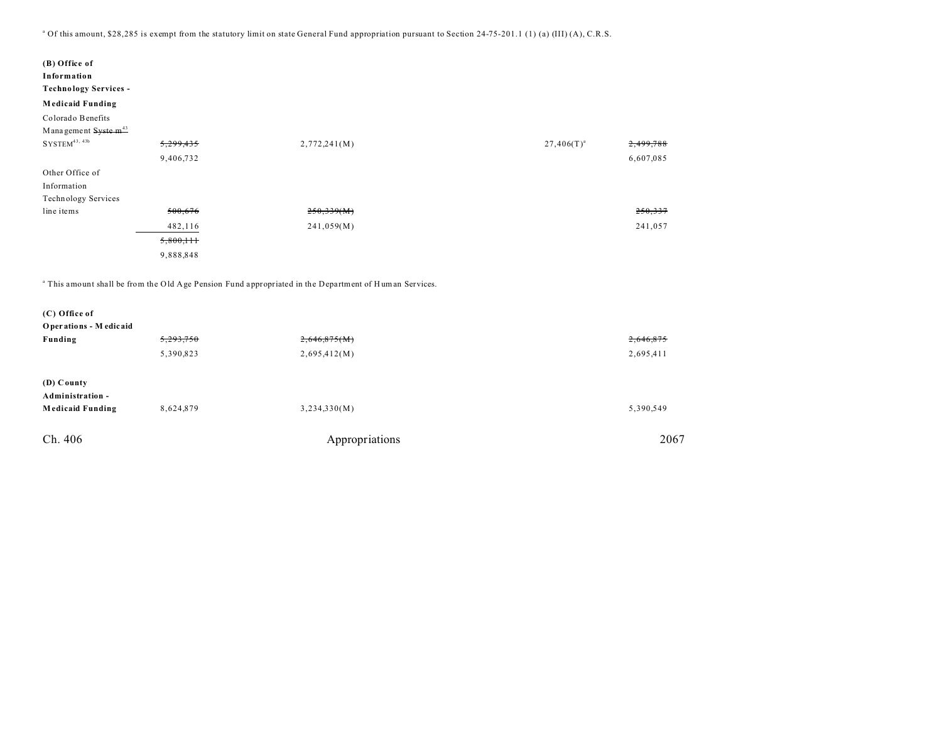<sup>a</sup> Of this amount, \$28,285 is exempt from the statutory limit on state General Fund appropriation pursuant to Section 24-75-201.1 (1) (a) (III) (A), C.R.S.

| (B) Office of<br>Information<br><b>Technology Services -</b><br><b>Medicaid Funding</b> |           |              |                              |
|-----------------------------------------------------------------------------------------|-----------|--------------|------------------------------|
| Colorado Benefits                                                                       |           |              |                              |
| Management Syste m <sup>43</sup>                                                        |           |              |                              |
| $SYSTEM^{43, 43b}$                                                                      | 5,299,435 | 2,772,241(M) | 2,499,788<br>$27,406(T)^{a}$ |
|                                                                                         | 9,406,732 |              | 6,607,085                    |
| Other Office of                                                                         |           |              |                              |
| Information                                                                             |           |              |                              |
| Technology Services                                                                     |           |              |                              |
| line items                                                                              | 500,676   | 250,339(M)   | 250,337                      |
|                                                                                         | 482,116   | 241,059(M)   | 241,057                      |
|                                                                                         | 5,800,111 |              |                              |
|                                                                                         | 9,888,848 |              |                              |

<sup>a</sup> This amount shall be from the Old Age Pension Fund appropriated in the Department of Human Services.

| (C) Office of           |           |                |           |
|-------------------------|-----------|----------------|-----------|
| Operations - Medicaid   |           |                |           |
| Funding                 | 5,293,750 | 2,646,875(M)   | 2,646,875 |
|                         | 5,390,823 | 2,695,412(M)   | 2,695,411 |
| (D) County              |           |                |           |
| Administration -        |           |                |           |
| <b>Medicaid Funding</b> | 8,624,879 | 3,234,330(M)   | 5,390,549 |
| Ch. 406                 |           | Appropriations | 2067      |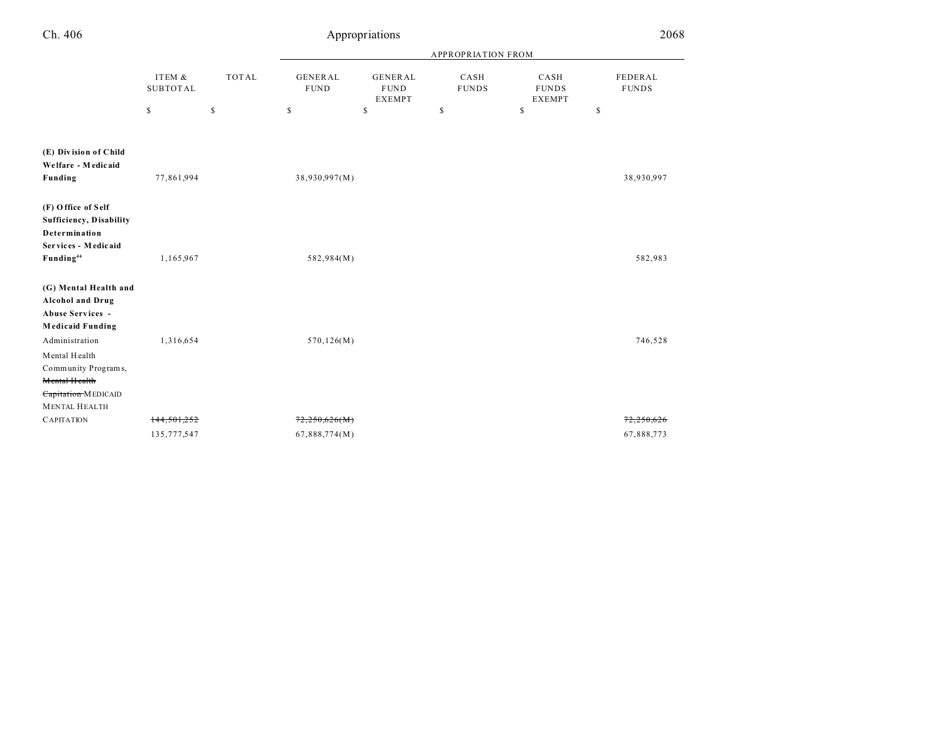| Ch. 406                                                                                         |                           |              |                               | Appropriations                                 |                           |                                       | 2068                    |
|-------------------------------------------------------------------------------------------------|---------------------------|--------------|-------------------------------|------------------------------------------------|---------------------------|---------------------------------------|-------------------------|
|                                                                                                 |                           |              |                               |                                                | <b>APPROPRIATION FROM</b> |                                       |                         |
|                                                                                                 | ITEM &<br><b>SUBTOTAL</b> | <b>TOTAL</b> | <b>GENERAL</b><br><b>FUND</b> | <b>GENERAL</b><br><b>FUND</b><br><b>EXEMPT</b> | CASH<br><b>FUNDS</b>      | CASH<br><b>FUNDS</b><br><b>EXEMPT</b> | FEDERAL<br><b>FUNDS</b> |
|                                                                                                 | \$                        | \$           | \$                            | \$                                             | \$                        | \$                                    | $\mathbb{S}$            |
| (E) Division of Child                                                                           |                           |              |                               |                                                |                           |                                       |                         |
| Welfare - Medicaid<br>Funding                                                                   | 77,861,994                |              | 38,930,997(M)                 |                                                |                           |                                       | 38,930,997              |
| (F) Office of Self<br>Sufficiency, Disability<br>Determination                                  |                           |              |                               |                                                |                           |                                       |                         |
| Services - Medicaid<br>Funding <sup>44</sup>                                                    | 1,165,967                 |              | 582,984(M)                    |                                                |                           |                                       | 582,983                 |
| (G) Mental Health and<br><b>Alcohol and Drug</b><br>Abuse Services -<br><b>Medicaid Funding</b> |                           |              |                               |                                                |                           |                                       |                         |
| Administration<br>Mental Health<br>Community Programs,<br>Mental Health                         | 1,316,654                 |              | 570, 126(M)                   |                                                |                           |                                       | 746,528                 |
| Capitation MEDICAID<br><b>MENTAL HEALTH</b>                                                     |                           |              |                               |                                                |                           |                                       |                         |
| <b>CAPITATION</b>                                                                               | 144,501,252               |              | 72,250,626(M)                 |                                                |                           |                                       | 72,250,626              |
|                                                                                                 | 135, 777, 547             |              | 67,888,774(M)                 |                                                |                           |                                       | 67,888,773              |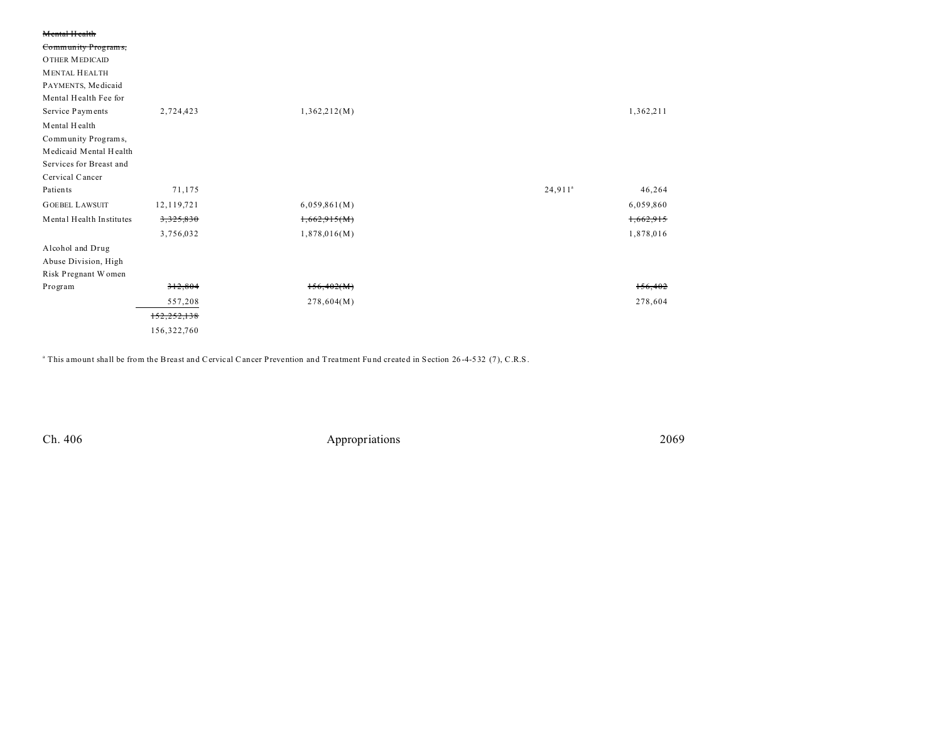| Mental Health            |              |              |                      |  |
|--------------------------|--------------|--------------|----------------------|--|
| Community Programs,      |              |              |                      |  |
| <b>OTHER MEDICAID</b>    |              |              |                      |  |
| <b>MENTAL HEALTH</b>     |              |              |                      |  |
| PAYMENTS, Medicaid       |              |              |                      |  |
| Mental Health Fee for    |              |              |                      |  |
| Service Payments         | 2,724,423    | 1,362,212(M) | 1,362,211            |  |
| Mental Health            |              |              |                      |  |
| Community Programs,      |              |              |                      |  |
| Medicaid Mental Health   |              |              |                      |  |
| Services for Breast and  |              |              |                      |  |
| Cervical Cancer          |              |              |                      |  |
| Patients                 | 71,175       |              | $24,911^a$<br>46,264 |  |
| <b>GOEBEL LAWSUIT</b>    | 12, 119, 721 | 6,059,861(M) | 6,059,860            |  |
| Mental Health Institutes | 3,325,830    | 1,662.915(M) | 1,662,915            |  |
|                          | 3,756,032    | 1,878,016(M) | 1,878,016            |  |
| Alcohol and Drug         |              |              |                      |  |
| Abuse Division, High     |              |              |                      |  |
| Risk Pregnant Women      |              |              |                      |  |
| Program                  | 312,804      | 156,402(M)   | 156,402              |  |
|                          | 557,208      | 278,604(M)   | 278,604              |  |
|                          | 152,252,138  |              |                      |  |
|                          | 156,322,760  |              |                      |  |

a This amount shall be from the Breast and Cervical Cancer Prevention and Treatment Fu nd created in Section 26 -4-532 (7), C.R.S.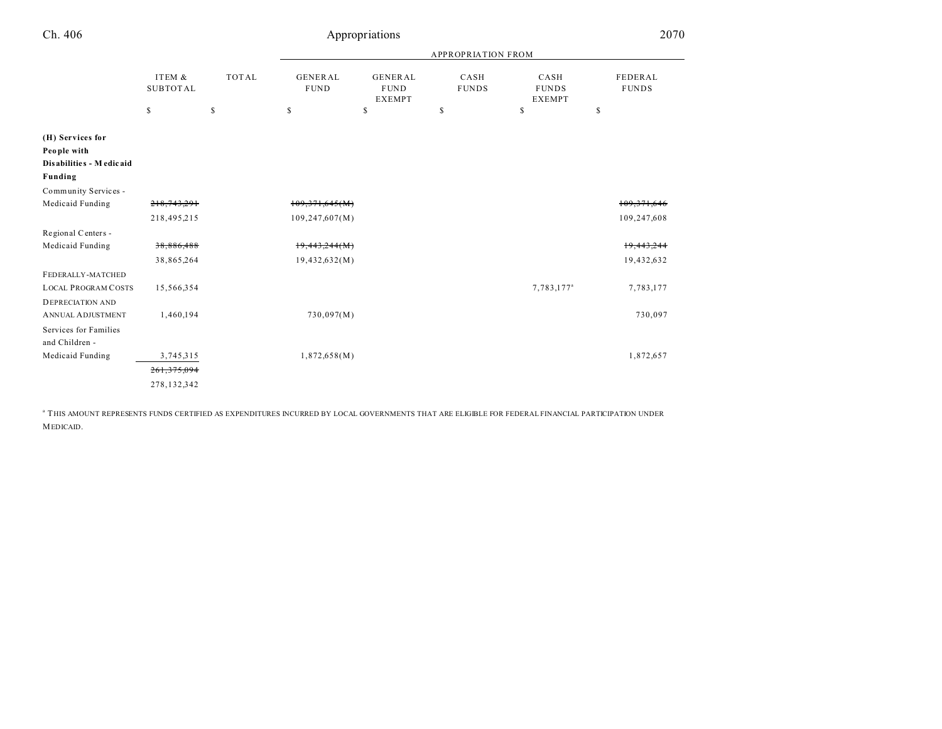| Ch. 406                                                    |                           |              |                               | Appropriations                                 |                      |                                       | 2070                    |
|------------------------------------------------------------|---------------------------|--------------|-------------------------------|------------------------------------------------|----------------------|---------------------------------------|-------------------------|
|                                                            |                           |              | <b>APPROPRIATION FROM</b>     |                                                |                      |                                       |                         |
|                                                            | ITEM &<br><b>SUBTOTAL</b> | <b>TOTAL</b> | <b>GENERAL</b><br><b>FUND</b> | <b>GENERAL</b><br><b>FUND</b><br><b>EXEMPT</b> | CASH<br><b>FUNDS</b> | CASH<br><b>FUNDS</b><br><b>EXEMPT</b> | FEDERAL<br><b>FUNDS</b> |
|                                                            | \$                        | $\mathbb S$  | \$                            | \$                                             | \$                   | \$                                    | \$                      |
| (H) Services for<br>People with<br>Disabilities - Medicaid |                           |              |                               |                                                |                      |                                       |                         |
| Funding                                                    |                           |              |                               |                                                |                      |                                       |                         |
| Community Services -                                       |                           |              |                               |                                                |                      |                                       |                         |
| Medicaid Funding                                           | 218,743,291               |              | 109,371,645(M)                |                                                |                      |                                       | 109, 371, 646           |
|                                                            | 218,495,215               |              | 109, 247, 607(M)              |                                                |                      |                                       | 109,247,608             |
| Regional Centers -                                         |                           |              |                               |                                                |                      |                                       |                         |
| Medicaid Funding                                           | 38,886,488                |              | 19,443,244(M)                 |                                                |                      |                                       | 19,443,244              |
|                                                            | 38,865,264                |              | 19,432,632(M)                 |                                                |                      |                                       | 19,432,632              |
| FEDERALLY-MATCHED                                          |                           |              |                               |                                                |                      |                                       |                         |
| <b>LOCAL PROGRAM COSTS</b>                                 | 15,566,354                |              |                               |                                                |                      | 7,783,177 <sup>a</sup>                | 7,783,177               |
| <b>DEPRECIATION AND</b>                                    |                           |              |                               |                                                |                      |                                       |                         |
| <b>ANNUAL ADJUSTMENT</b>                                   | 1,460,194                 |              | 730,097(M)                    |                                                |                      |                                       | 730,097                 |
| Services for Families                                      |                           |              |                               |                                                |                      |                                       |                         |
| and Children -                                             |                           |              |                               |                                                |                      |                                       |                         |
| Medicaid Funding                                           | 3,745,315                 |              | 1,872,658(M)                  |                                                |                      |                                       | 1,872,657               |
|                                                            | 261, 375, 094             |              |                               |                                                |                      |                                       |                         |
|                                                            | 278,132,342               |              |                               |                                                |                      |                                       |                         |
|                                                            |                           |              |                               |                                                |                      |                                       |                         |

a THIS AMOUNT REPRESENTS FUNDS CERTIFIED AS EXPENDITURES INCURRED BY LOCAL GOVERNMENTS THAT ARE ELIGIBLE FOR FEDERAL FINANCIAL PARTICIPATION UNDER MEDICAID.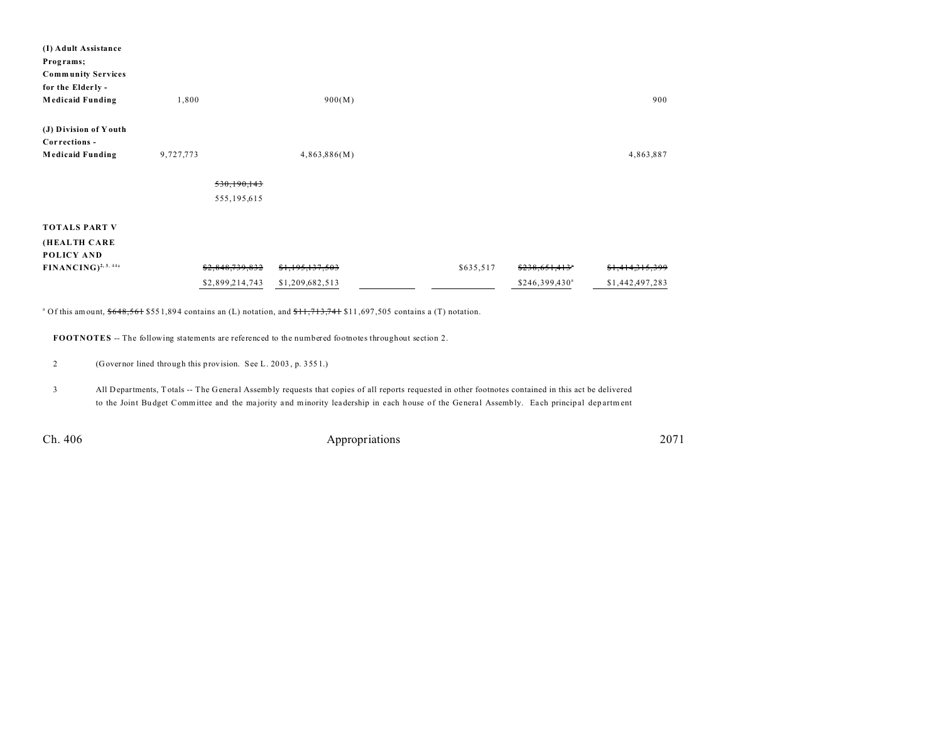| (I) Adult Assistance                   |                 |                 |           |                            |                            |
|----------------------------------------|-----------------|-----------------|-----------|----------------------------|----------------------------|
| Programs;                              |                 |                 |           |                            |                            |
| <b>Community Services</b>              |                 |                 |           |                            |                            |
| for the Elderly -                      |                 |                 |           |                            |                            |
| <b>Medicaid Funding</b>                | 1,800           | 900(M)          |           |                            | 900                        |
| (J) Division of Youth<br>Corrections - |                 |                 |           |                            |                            |
| <b>Medicaid Funding</b>                | 9,727,773       | 4,863,886(M)    |           |                            | 4,863,887                  |
|                                        |                 |                 |           |                            |                            |
|                                        | 530,190,143     |                 |           |                            |                            |
|                                        | 555, 195, 615   |                 |           |                            |                            |
| <b>TOTALS PART V</b>                   |                 |                 |           |                            |                            |
| (HEALTH CARE                           |                 |                 |           |                            |                            |
| POLICY AND                             |                 |                 |           |                            |                            |
| $FINANCING)^{2, 3, 44a}$               | \$2,848,739,832 | \$1,195,137,503 | \$635,517 | \$238,651,413"             | <del>\$1,414,315,399</del> |
|                                        | \$2,899,214,743 | \$1,209,682,513 |           | \$246,399,430 <sup>a</sup> | \$1,442,497,283            |
|                                        |                 |                 |           |                            |                            |

 $^{\circ}$  Of this amount,  $$648,561$  \$551,894 contains an (L) notation, and  $$11,713,741$  \$11,697,505 contains a (T) notation.

**FOOTNOTES** -- The following statements are referenced to the numbered footnotes throughout section 2.

2 (Governor lined through this provision. See L. 20 03 , p. 355 1.)

3 All Departments, T otals -- The General Assembly requests that copies of all reports requested in other footnotes contained in this act be delivered to the Joint Budget Committee and the majority and minority leadership in each house of the General Assembly. Each principal department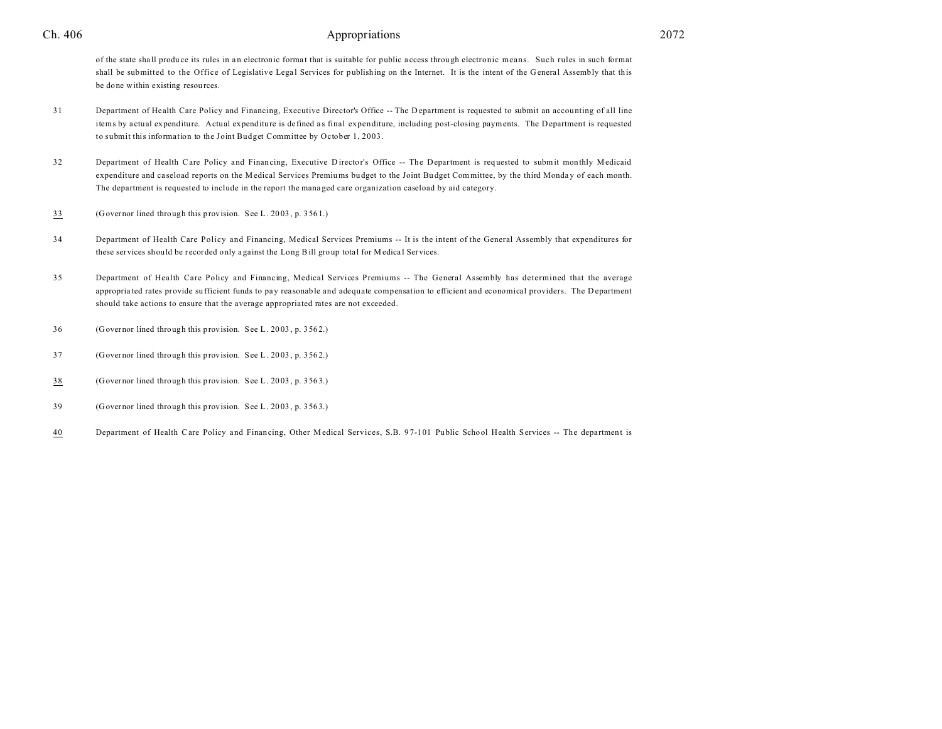#### Ch. 406 **and 2072 Ch.** 406 **a** 2072

of the state sha ll produ ce its rules in a n electronic forma t that is suitable for public a ccess through electronic means. Such rules in such format shall be submitted to the Office of Legislative Legal Services for publishing on the Internet. It is the intent of the General Assembly that this be done within existing resources.

- 31 Department of Health Care Policy and Financing, Executive Director's Office -- The D epartment is requested to submit an accou nting of all line items by actual expenditure. Actual expenditure is defined as final expenditure, including post-closing payments. The Department is requested to submit this information to the Joint Budget Committee by October 1, 2003.
- 32 Department of Health Care Policy and Financing, Executive D irector's Office -- The Department is requested to submit monthly Medicaid expenditure and caseload reports on the Medical Services Premiums budget to the Joint Budget Committee, by the third Monday of each month. The department is requested to include in the report the mana ged care organization caseload by aid category.
- 33 (Governor lined through this provision. See L. 20 03 , p. 356 1.)
- 34 Department of Health Care Policy and Financing, Medical Services Premiums -- It is the intent of the General Assembly that expenditures for these services should be recorded only against the Long Bill group total for Medical Services.
- 35 Department of Health Care Policy and Financing, Medical Services Premiums -- The General Assembly has determined that the average appropriated rates provide sufficient funds to pay reasonable and adequate compensation to efficient and economical providers. The D epartment should take actions to ensure that the average appropriated rates are not exceeded.
- 36 (Governor lined through this provision. See L. 20 03 , p. 356 2.)
- 37 (Governor lined through this provision. See L. 20 03 , p. 356 2.)
- 38 (Governor lined through this provision. See L. 20 03 , p. 356 3.)
- 39 (Governor lined through this provision. See L. 20 03 , p. 356 3.)
- 40 Department of Health Care Policy and Financing, Other Medical Services, S.B. 97-101 Public School Health Services -- The department is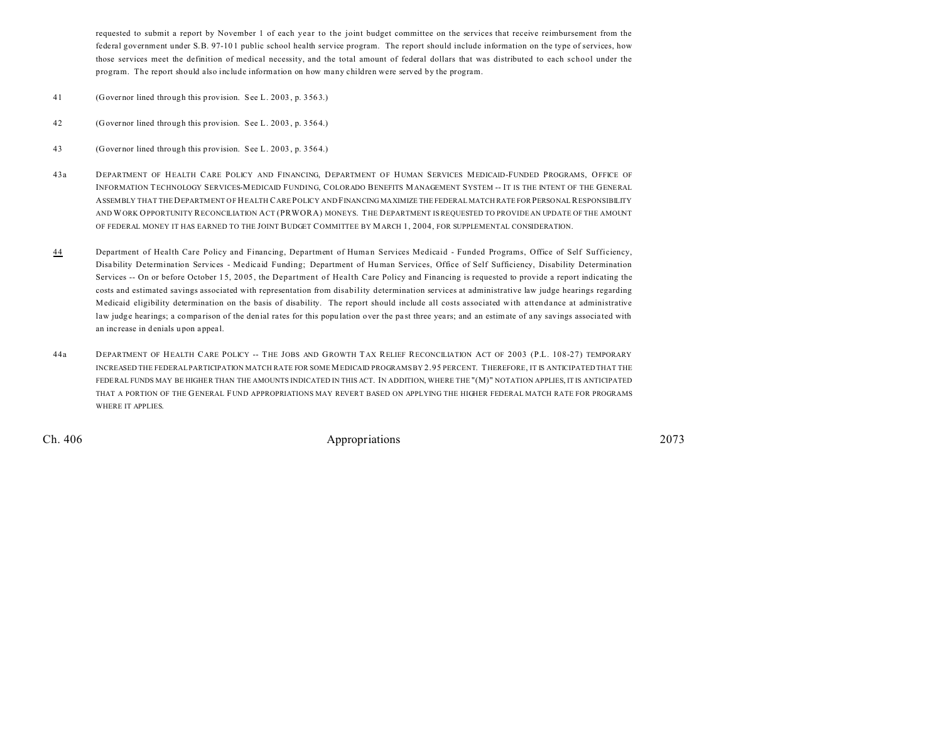requested to submit a report by November 1 of each year to the joint budget committee on the services that receive reimbursement from the federal government under S.B. 97-10 1 public school health service program. The report should include information on the type of services, how those services meet the definition of medical necessity, and the total amount of federal dollars that was distributed to each school under the program. The report should also include information on how many children were served by the program.

- 41 (Governor lined through this provision. See L. 20 03 , p. 356 3.)
- 42 (Governor lined through this provision. See L. 20 03 , p. 356 4.)
- 43 (Governor lined through this provision. See L. 20 03 , p. 356 4.)
- 43a DEPARTMENT OF HEALTH CARE POLICY AND FINANCING, DEPARTMENT OF HUMAN SERVICES MEDICAID-FUNDED PROGRAMS, OFFICE OF INFORMATION TECHNOLOGY SERVICES-MEDICAID FUNDING, COLORADO BENEFITS MANAGEMENT SYSTEM -- IT IS THE INTENT OF THE GENERAL ASSEMBLY THAT THEDEPARTMENT OF HEALTH CARE POLICY AND FINANCING MAXIMIZE THE FEDERAL MATCH RATE FOR PERSONAL RESPONSIBILITY AND WORK OPPORTUNITY RECONCILIATION ACT (PRWORA) MONEYS. THE DEPARTMENT IS REQUESTED TO PROVIDE AN UPDATE OF THE AMOUNT OF FEDERAL MONEY IT HAS EARNED TO THE JOINT BUDGET COMMITTEE BY MARCH 1, 2004, FOR SUPPLEMENTAL CONSIDERATION.
- 44 Department of Health Care Policy and Financing, Department of Human Services Medicaid Funded Programs, Office of Self Sufficiency, Disa bility Determination Services - Medicaid Funding; Department of Human Services, Office of Self Sufficiency, Disability Determination Services -- On or before October 15, 2005, the Department of Health Care Policy and Financing is requested to provide a report indicating the costs and estimated savings associated with representation from disability determination services at administrative law judge hearings regarding Medicaid eligibility determination on the basis of disability. The report should include all costs associated with attendance at administrative law judge hearings; a comparison of the denial rates for this population over the past three years; and an estimate of any savings associated with an increase in denials u pon appea l.
- 44a DEPARTMENT OF HEALTH CARE POLICY -- THE JOBS AND GROWTH TAX RELIEF RECONCILIATION ACT OF 2003 (P.L. 108-27) TEMPORARY INCREASED THE FEDERAL PARTICIPATION MATCH RATE FOR SOME MEDICAID PROGRAMS BY 2.95 PERCENT. THEREFORE, IT IS ANTICIPATED THAT THE FEDERAL FUNDS MAY BE HIGHER THAN THE AMOUNTS INDICATED IN THIS ACT. IN ADDITION, WHERE THE "(M)" NOTATION APPLIES, IT IS ANTICIPATED THAT A PORTION OF THE GENERAL FUND APPROPRIATIONS MAY REVERT BASED ON APPLYING THE HIGHER FEDERAL MATCH RATE FOR PROGRAMS WHERE IT APPLIES.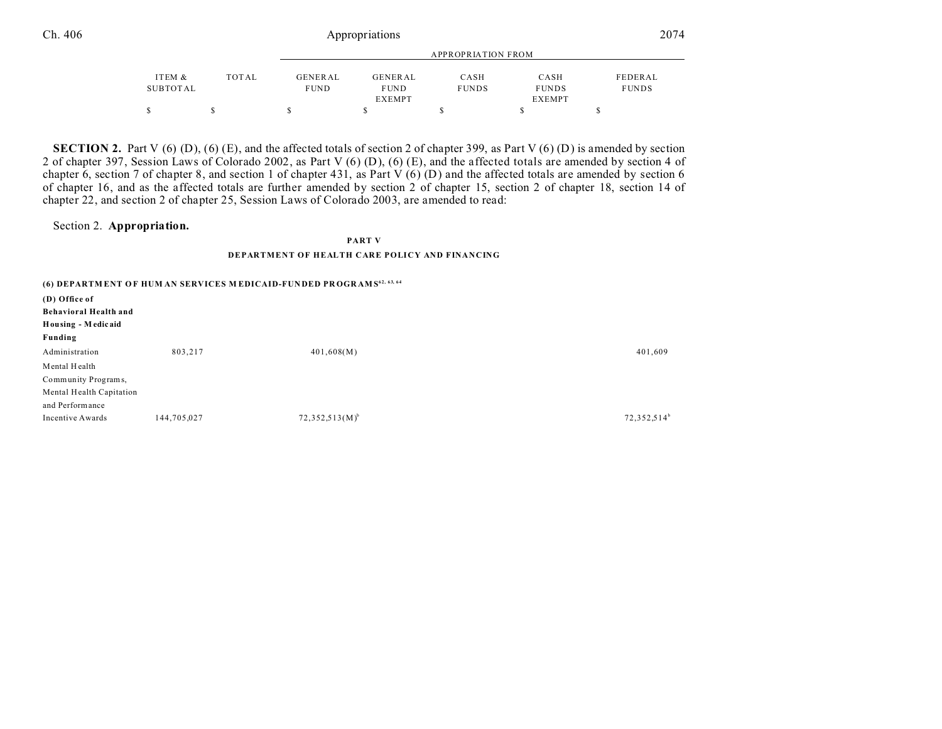| ITEM &   | TOTAL | GENERAL     | GENERAL       | CASH         | CASH          | FEDERAL      |
|----------|-------|-------------|---------------|--------------|---------------|--------------|
| SUBTOTAL |       | <b>FUND</b> | <b>FUND</b>   | <b>FUNDS</b> | <b>FUNDS</b>  | <b>FUNDS</b> |
|          |       |             | <b>EXEMPT</b> |              | <b>EXEMPT</b> |              |
|          |       |             |               |              |               |              |

**SECTION 2.** Part V  $(6)$   $(D)$ ,  $(6)$   $(E)$ , and the affected totals of section 2 of chapter 399, as Part V  $(6)$   $(D)$  is amended by section 2 of chapter 397, Session Laws of Colorado 2002, as Part V (6) (D), (6) (E), and the affected totals are amended by section 4 of chapter 6, section 7 of chapter 8, and section 1 of chapter 431, as Part  $V(6)(D)$  and the affected totals are amended by section 6 of chapter 16, and as the affected totals are further amended by section 2 of chapter 15, section 2 of chapter 18, section 14 of chapter 22, and section 2 of chapter 25, Session Laws of Colorado 2003, are amended to read:

### Section 2. **Appropriation.**

**PART V**

#### **DEPARTMENT OF HEALTH CARE POLICY AND FINANCING**

|                              |             | (6) DEPARTMENT OF HUM AN SERVICES MEDICAID-FUNDED PROGRAMS <sup>62, 63, 64</sup> |                         |
|------------------------------|-------------|----------------------------------------------------------------------------------|-------------------------|
| (D) Office of                |             |                                                                                  |                         |
| <b>Behavioral Health and</b> |             |                                                                                  |                         |
| Housing - Medicaid           |             |                                                                                  |                         |
| Funding                      |             |                                                                                  |                         |
| Administration               | 803,217     | 401,608(M)                                                                       | 401,609                 |
| Mental Health                |             |                                                                                  |                         |
| Community Programs,          |             |                                                                                  |                         |
| Mental Health Capitation     |             |                                                                                  |                         |
| and Performance              |             |                                                                                  |                         |
| Incentive Awards             | 144,705,027 | $72,352,513(M)^{b}$                                                              | 72,352,514 <sup>b</sup> |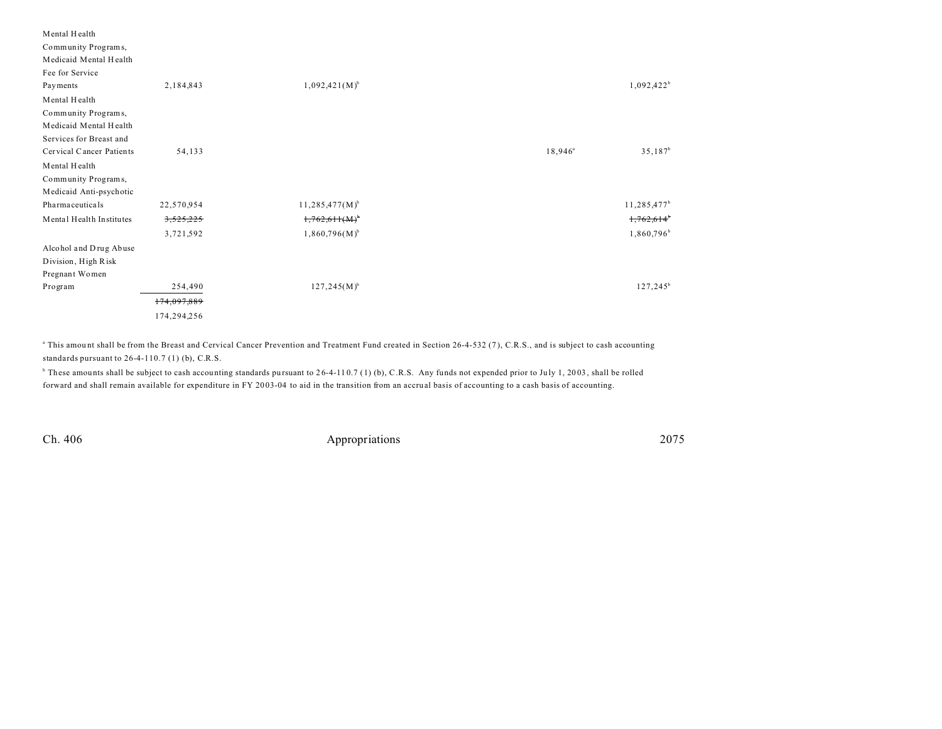| Mental Health            |             |                     |                        |             |
|--------------------------|-------------|---------------------|------------------------|-------------|
| Community Programs,      |             |                     |                        |             |
| Medicaid Mental Health   |             |                     |                        |             |
| Fee for Service          |             |                     |                        |             |
| Payments                 | 2,184,843   | $1,092,421(M)^{b}$  | $1,092,422^b$          |             |
| Mental Health            |             |                     |                        |             |
| Community Programs,      |             |                     |                        |             |
| Medicaid Mental Health   |             |                     |                        |             |
| Services for Breast and  |             |                     |                        |             |
| Cervical Cancer Patients | 54,133      |                     | $18,946^{\circ}$       | $35,187^b$  |
| Mental Health            |             |                     |                        |             |
| Community Programs,      |             |                     |                        |             |
| Medicaid Anti-psychotic  |             |                     |                        |             |
| Pharma ceuticals         | 22,570,954  | $11,285,477(M)^{b}$ | $11,285,477^b$         |             |
| Mental Health Institutes | 3,525,225   | $1,762,611(M)^{6}$  | 1,762,614              |             |
|                          | 3,721,592   | $1,860,796(M)^{b}$  | 1,860,796 <sup>b</sup> |             |
| Alcohol and Drug Abuse   |             |                     |                        |             |
| Division, High Risk      |             |                     |                        |             |
| Pregnant Women           |             |                     |                        |             |
| Program                  | 254,490     | $127,245(M)^{b}$    |                        | $127,245^b$ |
|                          | 174,097,889 |                     |                        |             |
|                          | 174,294,256 |                     |                        |             |

<sup>a</sup> This amount shall be from the Breast and Cervical Cancer Prevention and Treatment Fund created in Section 26-4-532 (7), C.R.S., and is subject to cash accounting standards pursuant to 26-4-110.7 (1) (b), C.R.S.

<sup>6</sup> These amounts shall be subject to cash accounting standards pursuant to 26-4-110.7 (1) (b), C.R.S. Any funds not expended prior to July 1, 2003, shall be rolled forward and shall remain available for expenditure in FY 20 03-04 to aid in the transition from an accrual basis of accounting to a cash basis of accounting.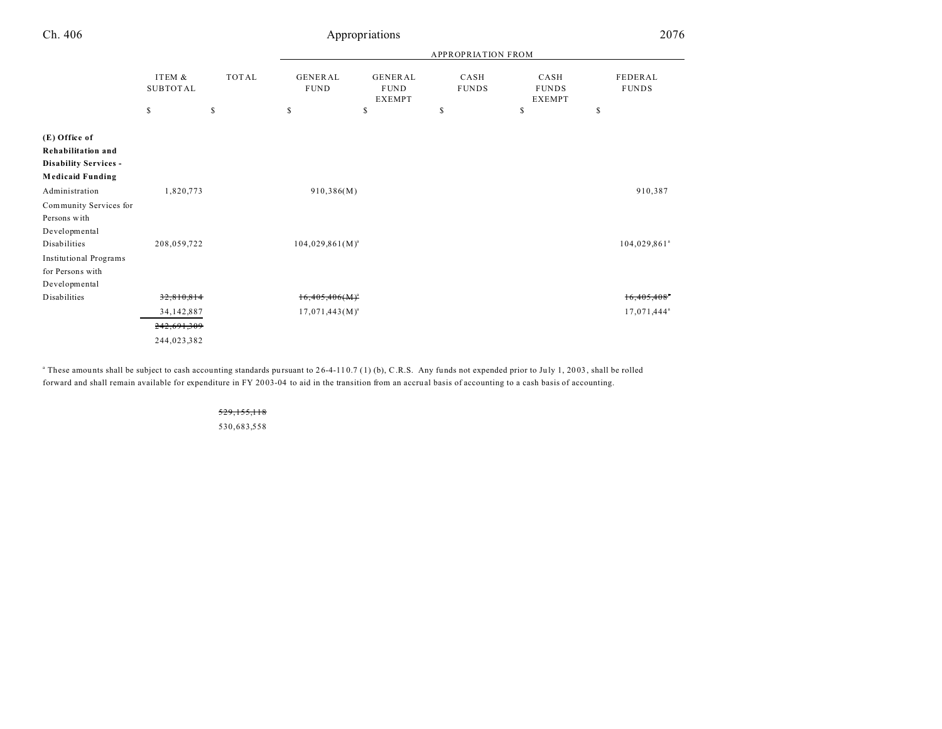| Ch. 406                                                                                        |                           |              |                               | Appropriations                                 |                           |                                       | 2076                       |
|------------------------------------------------------------------------------------------------|---------------------------|--------------|-------------------------------|------------------------------------------------|---------------------------|---------------------------------------|----------------------------|
|                                                                                                |                           |              |                               |                                                | <b>APPROPRIATION FROM</b> |                                       |                            |
|                                                                                                | ITEM &<br><b>SUBTOTAL</b> | <b>TOTAL</b> | <b>GENERAL</b><br><b>FUND</b> | <b>GENERAL</b><br><b>FUND</b><br><b>EXEMPT</b> | CASH<br><b>FUNDS</b>      | CASH<br><b>FUNDS</b><br><b>EXEMPT</b> | FEDERAL<br><b>FUNDS</b>    |
|                                                                                                | $\mathbb{S}$              | S            | \$                            | \$                                             | \$                        | \$                                    | S                          |
| (E) Office of<br>Rehabilitation and<br><b>Disability Services -</b><br><b>Medicaid Funding</b> |                           |              |                               |                                                |                           |                                       |                            |
| Administration                                                                                 | 1,820,773                 |              | 910,386(M)                    |                                                |                           |                                       | 910,387                    |
| Community Services for<br>Persons with<br>Developmental                                        |                           |              |                               |                                                |                           |                                       |                            |
| Disabilities                                                                                   | 208,059,722               |              | $104,029,861(M)^a$            |                                                |                           |                                       | $104,029,861$ <sup>a</sup> |
| <b>Institutional Programs</b><br>for Persons with<br>Developmental                             |                           |              |                               |                                                |                           |                                       |                            |
| Disabilities                                                                                   | 32,810,814                |              | $16,405,406(M)^a$             |                                                |                           |                                       | $16,405,408$ <sup>*</sup>  |
|                                                                                                | 34, 142, 887              |              | $17,071,443(M)^{a}$           |                                                |                           |                                       | 17,071,444 <sup>a</sup>    |
|                                                                                                | 242,691,309               |              |                               |                                                |                           |                                       |                            |
|                                                                                                | 244,023,382               |              |                               |                                                |                           |                                       |                            |

<sup>a</sup> These amounts shall be subject to cash accounting standards pursuant to 26-4-110.7 (1) (b), C.R.S. Any funds not expended prior to July 1, 2003, shall be rolled forward and shall remain available for expenditure in FY 20 03-04 to aid in the transition from an accrual basis of accounting to a cash basis of accounting.

> 529,155,118 530,683,558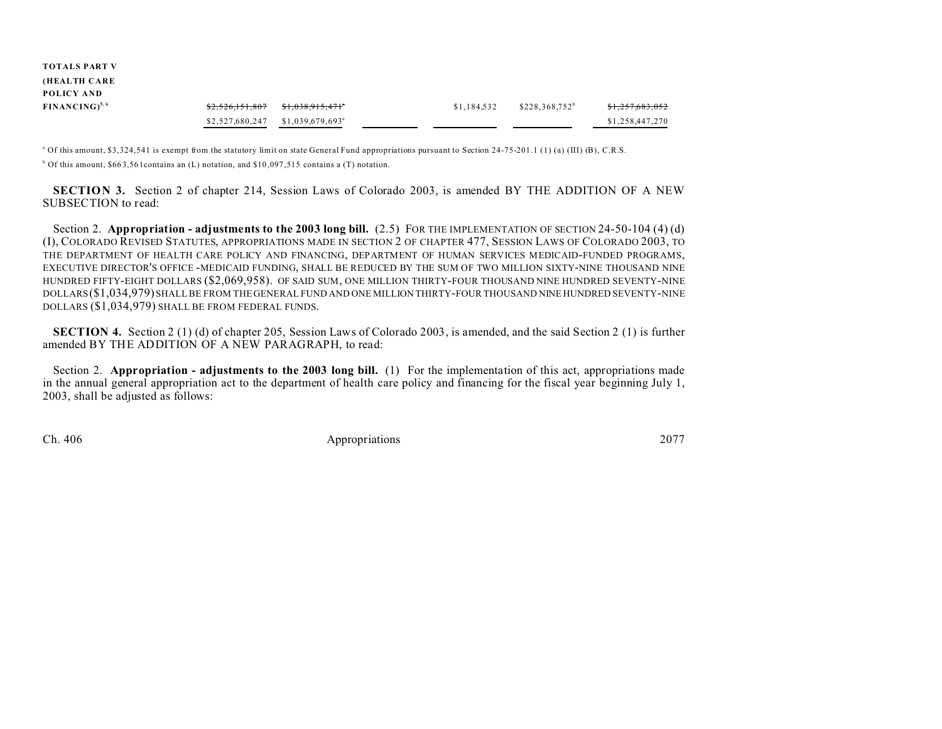| <b>TOTALS PART V</b> |                 |                               |             |                  |                            |
|----------------------|-----------------|-------------------------------|-------------|------------------|----------------------------|
| (HEALTH CARE         |                 |                               |             |                  |                            |
| POLICY AND           |                 |                               |             |                  |                            |
| $FINANCING)^{5,6}$   | \$2,526,151,807 | <del>\$1,038,915,471</del> *  | \$1,184,532 | $$228.368.752^b$ | <del>\$1,257,683,052</del> |
|                      | \$2,527,680,247 | $$1,039,679,693$ <sup>a</sup> |             |                  | \$1,258,447,270            |

<sup>a</sup> Of this amount, \$3,324,541 is exempt from the statutory limit on state General Fund appropriations pursuant to Section 24-75-201.1 (1) (a) (III) (B), C.R.S. <sup>b</sup> Of this amount, \$663,561 contains an (L) notation, and \$10,097,515 contains a (T) notation.

**SECTION 3.** Section 2 of chapter 214, Session Laws of Colorado 2003, is amended BY THE ADDITION OF A NEW SUBSECTION to read:

Section 2. **Appropriation - adjustments to the 2003 long bill.** (2.5) FOR THE IMPLEMENTATION OF SECTION 24-50-104 (4) (d) (I), COLORADO REVISED STATUTES, APPROPRIATIONS MADE IN SECTION 2 OF CHAPTER 477, SESSION LAWS OF COLORADO 2003, TO THE DEPARTMENT OF HEALTH CARE POLICY AND FINANCING, DEPARTMENT OF HUMAN SERVICES MEDICAID-FUNDED PROGRAMS, EXECUTIVE DIRECTOR'S OFFICE -MEDICAID FUNDING, SHALL BE REDUCED BY THE SUM OF TWO MILLION SIXTY-NINE THOUSAND NINE HUNDRED FIFTY-EIGHT DOLLARS (\$2,069,958). OF SAID SUM, ONE MILLION THIRTY-FOUR THOUSAND NINE HUNDRED SEVENTY-NINE DOLLARS(\$1,034,979) SHALL BE FROM THE GENERAL FUND AND ONE MILLION THIRTY-FOUR THOUSAND NINE HUNDRED SEVENTY-NINE DOLLARS (\$1,034,979) SHALL BE FROM FEDERAL FUNDS.

**SECTION 4.** Section 2 (1) (d) of chapter 205, Session Laws of Colorado 2003, is amended, and the said Section 2 (1) is further amended BY THE ADDITION OF A NEW PARAGRAPH, to read:

Section 2. **Appropriation - adjustments to the 2003 long bill.** (1) For the implementation of this act, appropriations made in the annual general appropriation act to the department of health care policy and financing for the fiscal year beginning July 1, 2003, shall be adjusted as follows: